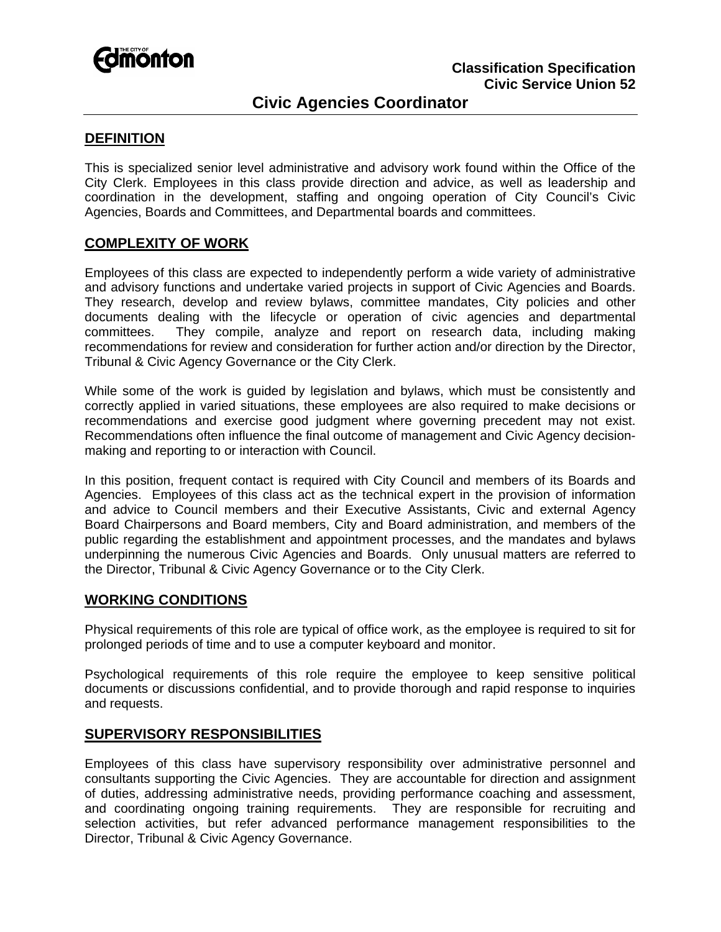

# **Civic Agencies Coordinator**

## **DEFINITION**

This is specialized senior level administrative and advisory work found within the Office of the City Clerk. Employees in this class provide direction and advice, as well as leadership and coordination in the development, staffing and ongoing operation of City Council's Civic Agencies, Boards and Committees, and Departmental boards and committees.

## **COMPLEXITY OF WORK**

Employees of this class are expected to independently perform a wide variety of administrative and advisory functions and undertake varied projects in support of Civic Agencies and Boards. They research, develop and review bylaws, committee mandates, City policies and other documents dealing with the lifecycle or operation of civic agencies and departmental committees. They compile, analyze and report on research data, including making recommendations for review and consideration for further action and/or direction by the Director, Tribunal & Civic Agency Governance or the City Clerk.

While some of the work is guided by legislation and bylaws, which must be consistently and correctly applied in varied situations, these employees are also required to make decisions or recommendations and exercise good judgment where governing precedent may not exist. Recommendations often influence the final outcome of management and Civic Agency decisionmaking and reporting to or interaction with Council.

In this position, frequent contact is required with City Council and members of its Boards and Agencies. Employees of this class act as the technical expert in the provision of information and advice to Council members and their Executive Assistants, Civic and external Agency Board Chairpersons and Board members, City and Board administration, and members of the public regarding the establishment and appointment processes, and the mandates and bylaws underpinning the numerous Civic Agencies and Boards. Only unusual matters are referred to the Director, Tribunal & Civic Agency Governance or to the City Clerk.

#### **WORKING CONDITIONS**

Physical requirements of this role are typical of office work, as the employee is required to sit for prolonged periods of time and to use a computer keyboard and monitor.

Psychological requirements of this role require the employee to keep sensitive political documents or discussions confidential, and to provide thorough and rapid response to inquiries and requests.

## **SUPERVISORY RESPONSIBILITIES**

Employees of this class have supervisory responsibility over administrative personnel and consultants supporting the Civic Agencies. They are accountable for direction and assignment of duties, addressing administrative needs, providing performance coaching and assessment, and coordinating ongoing training requirements. They are responsible for recruiting and selection activities, but refer advanced performance management responsibilities to the Director, Tribunal & Civic Agency Governance.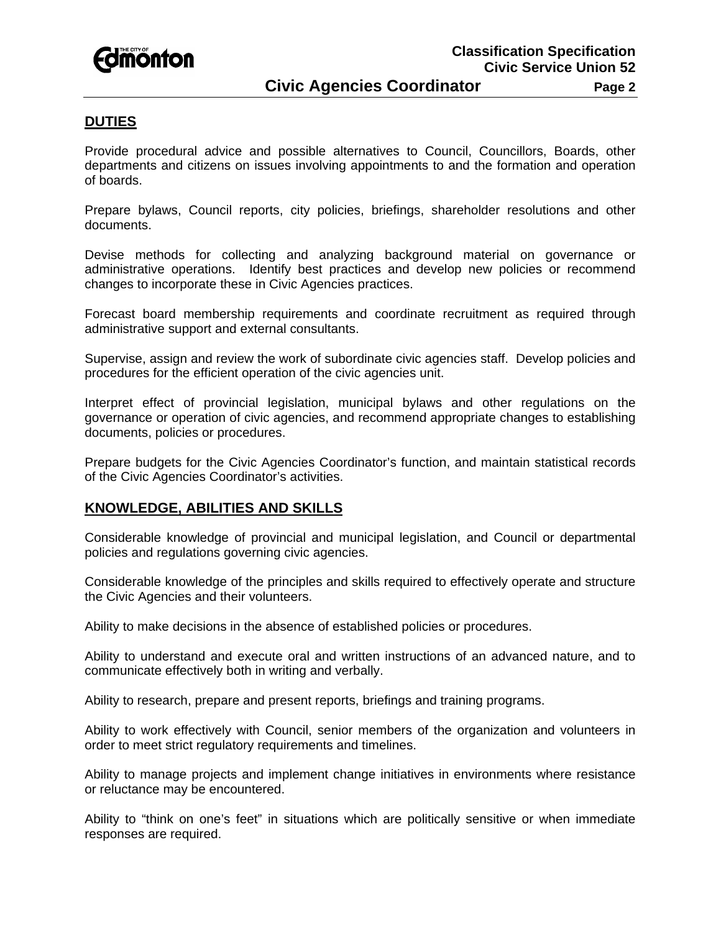

#### **DUTIES**

Provide procedural advice and possible alternatives to Council, Councillors, Boards, other departments and citizens on issues involving appointments to and the formation and operation of boards.

Prepare bylaws, Council reports, city policies, briefings, shareholder resolutions and other documents.

Devise methods for collecting and analyzing background material on governance or administrative operations. Identify best practices and develop new policies or recommend changes to incorporate these in Civic Agencies practices.

Forecast board membership requirements and coordinate recruitment as required through administrative support and external consultants.

Supervise, assign and review the work of subordinate civic agencies staff. Develop policies and procedures for the efficient operation of the civic agencies unit.

Interpret effect of provincial legislation, municipal bylaws and other regulations on the governance or operation of civic agencies, and recommend appropriate changes to establishing documents, policies or procedures.

Prepare budgets for the Civic Agencies Coordinator's function, and maintain statistical records of the Civic Agencies Coordinator's activities.

## **KNOWLEDGE, ABILITIES AND SKILLS**

Considerable knowledge of provincial and municipal legislation, and Council or departmental policies and regulations governing civic agencies.

Considerable knowledge of the principles and skills required to effectively operate and structure the Civic Agencies and their volunteers.

Ability to make decisions in the absence of established policies or procedures.

Ability to understand and execute oral and written instructions of an advanced nature, and to communicate effectively both in writing and verbally.

Ability to research, prepare and present reports, briefings and training programs.

Ability to work effectively with Council, senior members of the organization and volunteers in order to meet strict regulatory requirements and timelines.

Ability to manage projects and implement change initiatives in environments where resistance or reluctance may be encountered.

Ability to "think on one's feet" in situations which are politically sensitive or when immediate responses are required.